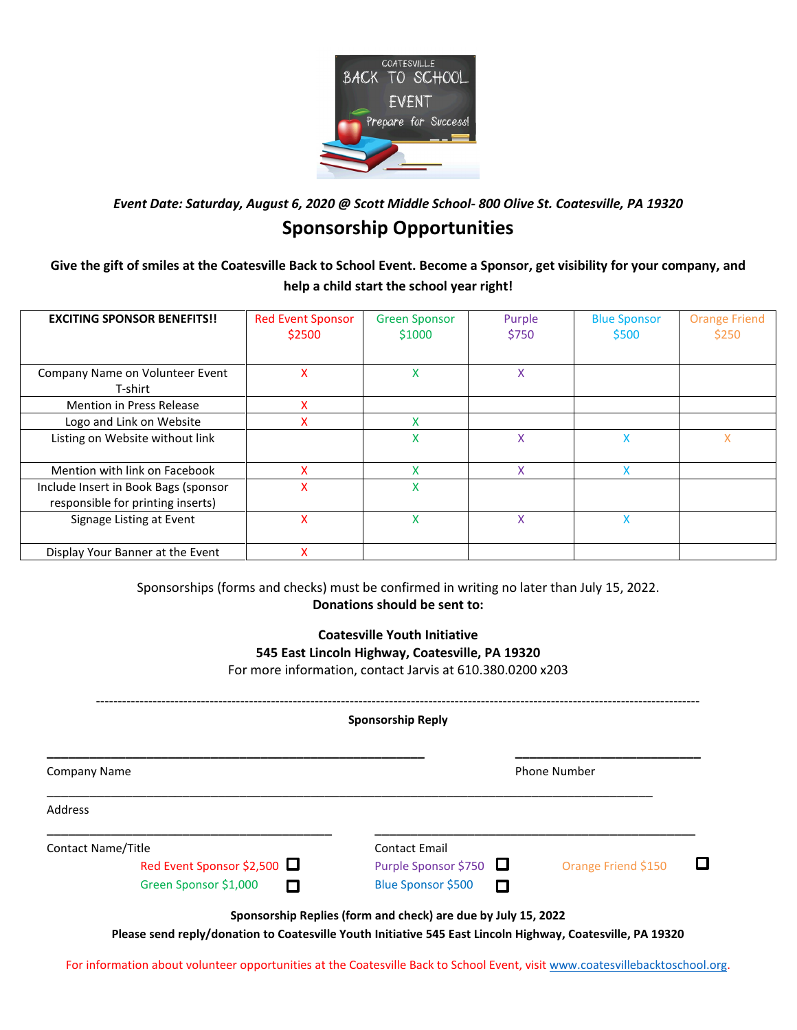

*Event Date: Saturday, August 6, 2020 @ Scott Middle School- 800 Olive St. Coatesville, PA 19320*

## **Sponsorship Opportunities**

**Give the gift of smiles at the Coatesville Back to School Event. Become a Sponsor, get visibility for your company, and help a child start the school year right!**

| <b>EXCITING SPONSOR BENEFITS!!</b>                                        | <b>Red Event Sponsor</b><br>\$2500 | <b>Green Sponsor</b><br>\$1000 | Purple<br>\$750 | <b>Blue Sponsor</b><br>\$500 | <b>Orange Friend</b><br>\$250 |
|---------------------------------------------------------------------------|------------------------------------|--------------------------------|-----------------|------------------------------|-------------------------------|
| Company Name on Volunteer Event                                           | x                                  | x                              | X               |                              |                               |
| T-shirt                                                                   |                                    |                                |                 |                              |                               |
| <b>Mention in Press Release</b>                                           | x                                  |                                |                 |                              |                               |
| Logo and Link on Website                                                  | X                                  | v                              |                 |                              |                               |
| Listing on Website without link                                           |                                    | x                              | X               | x                            | x                             |
| Mention with link on Facebook                                             | x                                  | $\checkmark$                   | X               | x                            |                               |
| Include Insert in Book Bags (sponsor<br>responsible for printing inserts) | X                                  | X                              |                 |                              |                               |
| Signage Listing at Event                                                  | X                                  | x                              | Χ               | x                            |                               |
| Display Your Banner at the Event                                          | x                                  |                                |                 |                              |                               |

Sponsorships (forms and checks) must be confirmed in writing no later than July 15, 2022. **Donations should be sent to:**

> **Coatesville Youth Initiative 545 East Lincoln Highway, Coatesville, PA 19320** For more information, contact Jarvis at 610.380.0200 x203

------------------------------------------------------------------------------------------------------------------------------------------ **Sponsorship Reply \_\_\_\_\_\_\_\_\_\_\_\_\_\_\_\_\_\_\_\_\_\_\_\_\_\_\_\_\_\_\_\_\_\_\_\_\_\_\_\_\_\_\_\_\_\_\_\_\_\_\_\_\_ \_\_\_\_\_\_\_\_\_\_\_\_\_\_\_\_\_\_\_\_\_\_\_\_\_\_** Company Name **Phone Number** Phone Number 2014 \_\_\_\_\_\_\_\_\_\_\_\_\_\_\_\_\_\_\_\_\_\_\_\_\_\_\_\_\_\_\_\_\_\_\_\_\_\_\_\_\_\_\_\_\_\_\_\_\_\_\_\_\_\_\_\_\_\_\_\_\_\_\_\_\_\_\_\_\_\_\_\_\_\_\_\_\_\_\_\_\_\_\_\_\_ Address \_\_\_\_\_\_\_\_\_\_\_\_\_\_\_\_\_\_\_\_\_\_\_\_\_\_\_\_\_\_\_\_\_\_\_\_\_\_\_\_ \_\_\_\_\_\_\_\_\_\_\_\_\_\_\_\_\_\_\_\_\_\_\_\_\_\_\_\_\_\_\_\_\_\_\_\_\_\_\_\_\_\_\_\_\_ Contact Name/Title Contact Email Red Event Sponsor \$2,500  $\Box$  Purple Sponsor \$750  $\Box$  Orange Friend \$150 0 Green Sponsor \$1,000 **D** Blue Sponsor \$500  $\Box$ **Sponsorship Replies (form and check) are due by July 15, 2022**

**Please send reply/donation to Coatesville Youth Initiative 545 East Lincoln Highway, Coatesville, PA 19320**

For information about volunteer opportunities at the Coatesville Back to School Event, visi[t www.coatesvillebacktoschool.org.](http://www.coatesvillebacktoschool.org/)